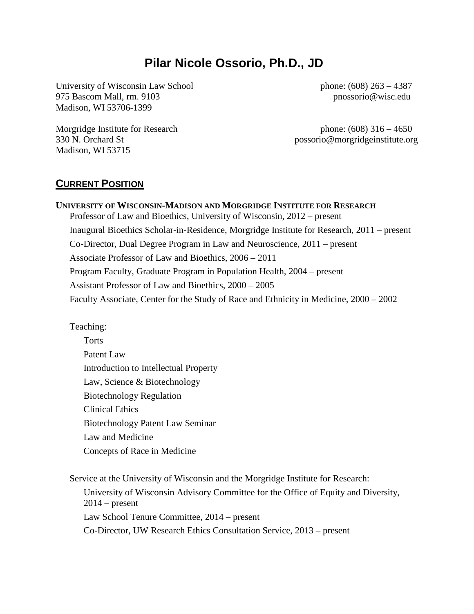# **Pilar Nicole Ossorio, Ph.D., JD**

University of Wisconsin Law School 975 Bascom Mall, rm. 9103 Madison, WI 53706-1399

phone: (608) 263 – 4387 pnossorio@wisc.edu

Morgridge Institute for Research phone: (608) 316 – 4650 Madison, WI 53715

330 N. Orchard St possorio@morgridgeinstitute.org

#### **CURRENT POSITION**

**UNIVERSITY OF WISCONSIN-MADISON AND MORGRIDGE INSTITUTE FOR RESEARCH** Professor of Law and Bioethics, University of Wisconsin, 2012 – present Inaugural Bioethics Scholar-in-Residence, Morgridge Institute for Research, 2011 – present Co-Director, Dual Degree Program in Law and Neuroscience, 2011 – present Associate Professor of Law and Bioethics, 2006 – 2011 Program Faculty, Graduate Program in Population Health, 2004 – present Assistant Professor of Law and Bioethics, 2000 – 2005 Faculty Associate, Center for the Study of Race and Ethnicity in Medicine, 2000 – 2002

Teaching:

**Torts** Patent Law Introduction to Intellectual Property Law, Science & Biotechnology Biotechnology Regulation Clinical Ethics Biotechnology Patent Law Seminar Law and Medicine Concepts of Race in Medicine

Service at the University of Wisconsin and the Morgridge Institute for Research: University of Wisconsin Advisory Committee for the Office of Equity and Diversity,  $2014$  – present Law School Tenure Committee, 2014 – present Co-Director, UW Research Ethics Consultation Service, 2013 – present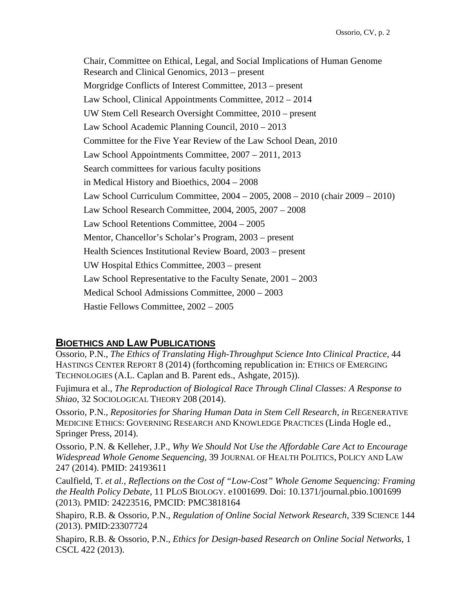Chair, Committee on Ethical, Legal, and Social Implications of Human Genome Research and Clinical Genomics, 2013 – present Morgridge Conflicts of Interest Committee, 2013 – present Law School, Clinical Appointments Committee, 2012 – 2014 UW Stem Cell Research Oversight Committee, 2010 – present Law School Academic Planning Council, 2010 – 2013 Committee for the Five Year Review of the Law School Dean, 2010 Law School Appointments Committee, 2007 – 2011, 2013 Search committees for various faculty positions in Medical History and Bioethics, 2004 – 2008 Law School Curriculum Committee, 2004 – 2005, 2008 – 2010 (chair 2009 – 2010) Law School Research Committee, 2004, 2005, 2007 – 2008 Law School Retentions Committee, 2004 – 2005 Mentor, Chancellor's Scholar's Program, 2003 – present Health Sciences Institutional Review Board, 2003 – present UW Hospital Ethics Committee, 2003 – present Law School Representative to the Faculty Senate, 2001 – 2003 Medical School Admissions Committee, 2000 – 2003 Hastie Fellows Committee, 2002 – 2005

#### **BIOETHICS AND LAW PUBLICATIONS**

Ossorio, P.N., *The Ethics of Translating High-Throughput Science Into Clinical Practice*, 44 HASTINGS CENTER REPORT 8 (2014) (forthcoming republication in: ETHICS OF EMERGING TECHNOLOGIES (A.L. Caplan and B. Parent eds., Ashgate, 2015)).

Fujimura et al., *The Reproduction of Biological Race Through Clinal Classes: A Response to Shiao*, 32 SOCIOLOGICAL THEORY 208 (2014).

Ossorio, P.N., *Repositories for Sharing Human Data in Stem Cell Research*, *in* REGENERATIVE MEDICINE ETHICS: GOVERNING RESEARCH AND KNOWLEDGE PRACTICES (Linda Hogle ed., Springer Press, 2014).

Ossorio, P.N. & Kelleher, J.P., *Why We Should Not Use the Affordable Care Act to Encourage Widespread Whole Genome Sequencing*, 39 JOURNAL OF HEALTH POLITICS, POLICY AND LAW 247 (2014). PMID: 24193611

Caulfield, T. *et al.*, *Reflections on the Cost of "Low-Cost" Whole Genome Sequencing: Framing the Health Policy Debate*, 11 PLOS BIOLOGY. e1001699. Doi: 10.1371/journal.pbio.1001699 (2013). PMID: 24223516, PMCID: PMC3818164

Shapiro, R.B. & Ossorio, P.N., *Regulation of Online Social Network Research*, 339 SCIENCE 144 (2013). PMID:23307724

Shapiro, R.B. & Ossorio, P.N., *Ethics for Design-based Research on Online Social Networks*, 1 CSCL 422 (2013).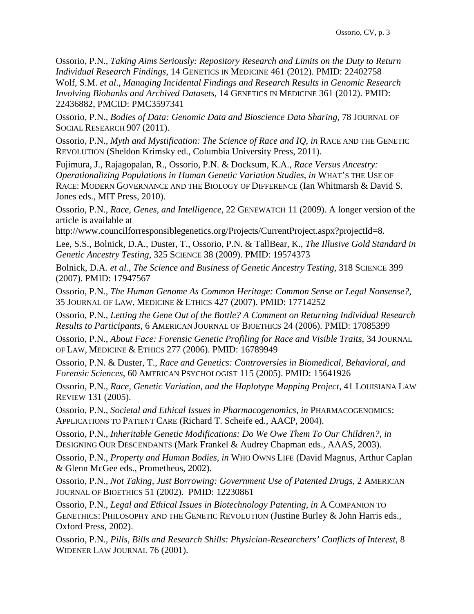Ossorio, P.N., *Taking Aims Seriously: Repository Research and Limits on the Duty to Return Individual Research Findings*, 14 GENETICS IN MEDICINE 461 (2012). PMID: 22402758 Wolf, S.M. *et al*., *Managing Incidental Findings and Research Results in Genomic Research Involving Biobanks and Archived Datasets*, 14 GENETICS IN MEDICINE 361 (2012). PMID: 22436882, PMCID: PMC3597341

Ossorio, P.N., *Bodies of Data: Genomic Data and Bioscience Data Sharing*, 78 JOURNAL OF SOCIAL RESEARCH 907 (2011).

Ossorio, P.N., *Myth and Mystification: The Science of Race and IQ*, *in* RACE AND THE GENETIC REVOLUTION (Sheldon Krimsky ed., Columbia University Press, 2011).

Fujimura, J., Rajagopalan, R., Ossorio, P.N. & Docksum, K.A., *Race Versus Ancestry: Operationalizing Populations in Human Genetic Variation Studies*, *in* WHAT'S THE USE OF RACE: MODERN GOVERNANCE AND THE BIOLOGY OF DIFFERENCE (Ian Whitmarsh & David S. Jones eds., MIT Press, 2010).

Ossorio, P.N., *Race, Genes, and Intelligence*, 22 GENEWATCH 11 (2009). A longer version of the article is available at

http://www.councilforresponsiblegenetics.org/Projects/CurrentProject.aspx?projectId=8.

Lee, S.S., Bolnick, D.A., Duster, T., Ossorio, P.N. & TallBear, K., *The Illusive Gold Standard in Genetic Ancestry Testing*, 325 SCIENCE 38 (2009). PMID: 19574373

Bolnick, D.A*. et al*., *The Science and Business of Genetic Ancestry Testing*, 318 SCIENCE 399 (2007). PMID: 17947567

Ossorio, P.N., *The Human Genome As Common Heritage: Common Sense or Legal Nonsense?*, 35 JOURNAL OF LAW, MEDICINE & ETHICS 427 (2007). PMID: 17714252

Ossorio, P.N., *Letting the Gene Out of the Bottle? A Comment on Returning Individual Research Results to Participants*, 6 AMERICAN JOURNAL OF BIOETHICS 24 (2006). PMID: 17085399

Ossorio, P.N., *About Face: Forensic Genetic Profiling for Race and Visible Traits*, 34 JOURNAL OF LAW, MEDICINE & ETHICS 277 (2006). PMID: 16789949

Ossorio, P.N. & Duster, T., *Race and Genetics: Controversies in Biomedical, Behavioral, and Forensic Sciences*, 60 AMERICAN PSYCHOLOGIST 115 (2005). PMID: 15641926

Ossorio, P.N., *Race, Genetic Variation, and the Haplotype Mapping Project*, 41 LOUISIANA LAW REVIEW 131 (2005).

Ossorio, P.N., *Societal and Ethical Issues in Pharmacogenomics*, *in* PHARMACOGENOMICS: APPLICATIONS TO PATIENT CARE (Richard T. Scheife ed., AACP, 2004).

Ossorio, P.N., *Inheritable Genetic Modifications: Do We Owe Them To Our Children?*, *in* DESIGNING OUR DESCENDANTS (Mark Frankel & Audrey Chapman eds., AAAS, 2003).

Ossorio, P.N., *Property and Human Bodies*, *in* WHO OWNS LIFE (David Magnus, Arthur Caplan & Glenn McGee eds., Prometheus, 2002).

Ossorio, P.N., *Not Taking, Just Borrowing: Government Use of Patented Drugs*, 2 AMERICAN JOURNAL OF BIOETHICS 51 (2002). PMID: 12230861

Ossorio, P.N., *Legal and Ethical Issues in Biotechnology Patenting*, *in* A COMPANION TO GENETHICS: PHILOSOPHY AND THE GENETIC REVOLUTION (Justine Burley & John Harris eds., Oxford Press, 2002).

Ossorio, P.N., *Pills, Bills and Research Shills: Physician-Researchers' Conflicts of Interest*, 8 WIDENER LAW JOURNAL 76 (2001).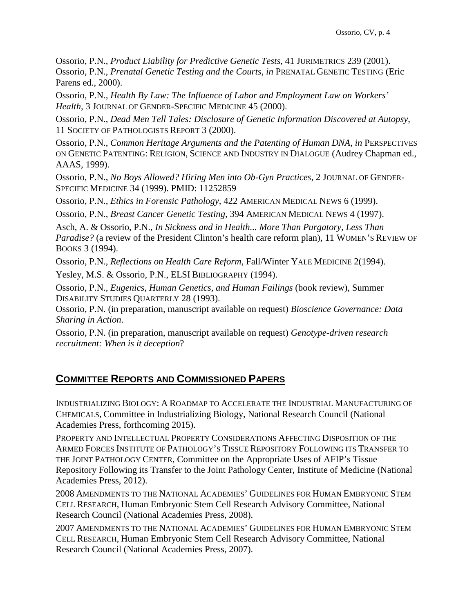Ossorio, P.N., *Product Liability for Predictive Genetic Tests*, 41 JURIMETRICS 239 (2001). Ossorio, P.N., *Prenatal Genetic Testing and the Courts*, *in* PRENATAL GENETIC TESTING (Eric Parens ed., 2000).

Ossorio, P.N., *Health By Law: The Influence of Labor and Employment Law on Workers' Health*, 3 JOURNAL OF GENDER-SPECIFIC MEDICINE 45 (2000).

Ossorio, P.N., *Dead Men Tell Tales: Disclosure of Genetic Information Discovered at Autopsy*, 11 SOCIETY OF PATHOLOGISTS REPORT 3 (2000).

Ossorio, P.N., *Common Heritage Arguments and the Patenting of Human DNA*, *in* PERSPECTIVES ON GENETIC PATENTING: RELIGION, SCIENCE AND INDUSTRY IN DIALOGUE (Audrey Chapman ed., AAAS, 1999).

Ossorio, P.N., *No Boys Allowed? Hiring Men into Ob-Gyn Practices*, 2 JOURNAL OF GENDER-SPECIFIC MEDICINE 34 (1999). PMID: 11252859

Ossorio, P.N., *Ethics in Forensic Pathology*, 422 AMERICAN MEDICAL NEWS 6 (1999).

Ossorio, P.N., *Breast Cancer Genetic Testing*, 394 AMERICAN MEDICAL NEWS 4 (1997).

Asch, A. & Ossorio, P.N., *In Sickness and in Health... More Than Purgatory, Less Than Paradise?* (a review of the President Clinton's health care reform plan), 11 WOMEN'S REVIEW OF BOOKS 3 (1994).

Ossorio, P.N., *Reflections on Health Care Reform*, Fall/Winter YALE MEDICINE 2(1994).

Yesley, M.S. & Ossorio, P.N., ELSI BIBLIOGRAPHY (1994).

Ossorio, P.N., *Eugenics, Human Genetics, and Human Failings* (book review), Summer DISABILITY STUDIES QUARTERLY 28 (1993).

Ossorio, P.N. (in preparation, manuscript available on request) *Bioscience Governance: Data Sharing in Action*.

Ossorio, P.N. (in preparation, manuscript available on request) *Genotype-driven research recruitment: When is it deception*?

#### **COMMITTEE REPORTS AND COMMISSIONED PAPERS**

INDUSTRIALIZING BIOLOGY: A ROADMAP TO ACCELERATE THE INDUSTRIAL MANUFACTURING OF CHEMICALS, Committee in Industrializing Biology, National Research Council (National Academies Press, forthcoming 2015).

PROPERTY AND INTELLECTUAL PROPERTY CONSIDERATIONS AFFECTING DISPOSITION OF THE ARMED FORCES INSTITUTE OF PATHOLOGY'S TISSUE REPOSITORY FOLLOWING ITS TRANSFER TO THE JOINT PATHOLOGY CENTER, Committee on the Appropriate Uses of AFIP's Tissue Repository Following its Transfer to the Joint Pathology Center, Institute of Medicine (National Academies Press, 2012).

2008 AMENDMENTS TO THE NATIONAL ACADEMIES' GUIDELINES FOR HUMAN EMBRYONIC STEM CELL RESEARCH, Human Embryonic Stem Cell Research Advisory Committee, National Research Council (National Academies Press, 2008).

2007 AMENDMENTS TO THE NATIONAL ACADEMIES' GUIDELINES FOR HUMAN EMBRYONIC STEM CELL RESEARCH, Human Embryonic Stem Cell Research Advisory Committee, National Research Council (National Academies Press, 2007).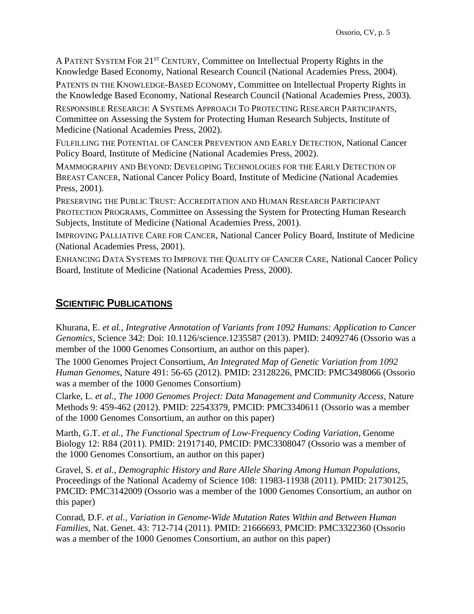A PATENT SYSTEM FOR 21<sup>ST</sup> CENTURY, Committee on Intellectual Property Rights in the Knowledge Based Economy, National Research Council (National Academies Press, 2004).

PATENTS IN THE KNOWLEDGE-BASED ECONOMY, Committee on Intellectual Property Rights in the Knowledge Based Economy, National Research Council (National Academies Press, 2003).

RESPONSIBLE RESEARCH: A SYSTEMS APPROACH TO PROTECTING RESEARCH PARTICIPANTS, Committee on Assessing the System for Protecting Human Research Subjects, Institute of Medicine (National Academies Press, 2002).

FULFILLING THE POTENTIAL OF CANCER PREVENTION AND EARLY DETECTION, National Cancer Policy Board, Institute of Medicine (National Academies Press, 2002).

MAMMOGRAPHY AND BEYOND: DEVELOPING TECHNOLOGIES FOR THE EARLY DETECTION OF BREAST CANCER, National Cancer Policy Board, Institute of Medicine (National Academies Press, 2001).

PRESERVING THE PUBLIC TRUST: ACCREDITATION AND HUMAN RESEARCH PARTICIPANT PROTECTION PROGRAMS, Committee on Assessing the System for Protecting Human Research Subjects, Institute of Medicine (National Academies Press, 2001).

IMPROVING PALLIATIVE CARE FOR CANCER, National Cancer Policy Board, Institute of Medicine (National Academies Press, 2001).

ENHANCING DATA SYSTEMS TO IMPROVE THE QUALITY OF CANCER CARE, National Cancer Policy Board, Institute of Medicine (National Academies Press, 2000).

## **SCIENTIFIC PUBLICATIONS**

Khurana, E. *et al.*, *Integrative Annotation of Variants from 1092 Humans: Application to Cancer Genomics*, Science 342: Doi: 10.1126/science.1235587 (2013). PMID: 24092746 (Ossorio was a member of the 1000 Genomes Consortium, an author on this paper).

The 1000 Genomes Project Consortium, *An Integrated Map of Genetic Variation from 1092 Human Genomes*, Nature 491: 56-65 (2012). PMID: 23128226, PMCID: PMC3498066 (Ossorio was a member of the 1000 Genomes Consortium)

Clarke, L. *et al.*, *The 1000 Genomes Project: Data Management and Community Access*, Nature Methods 9: 459-462 (2012). PMID: 22543379, PMCID: PMC3340611 (Ossorio was a member of the 1000 Genomes Consortium, an author on this paper)

Marth, G.T. *et al.*, *The Functional Spectrum of Low-Frequency Coding Variation*, Genome Biology 12: R84 (2011). PMID: 21917140, PMCID: PMC3308047 (Ossorio was a member of the 1000 Genomes Consortium, an author on this paper)

Gravel, S. *et al.*, *Demographic History and Rare Allele Sharing Among Human Populations*, Proceedings of the National Academy of Science 108: 11983-11938 (2011). PMID: 21730125, PMCID: PMC3142009 (Ossorio was a member of the 1000 Genomes Consortium, an author on this paper)

Conrad, D.F. *et al.*, *Variation in Genome-Wide Mutation Rates Within and Between Human Families*, Nat. Genet. 43: 712-714 (2011). PMID: 21666693, PMCID: PMC3322360 (Ossorio was a member of the 1000 Genomes Consortium, an author on this paper)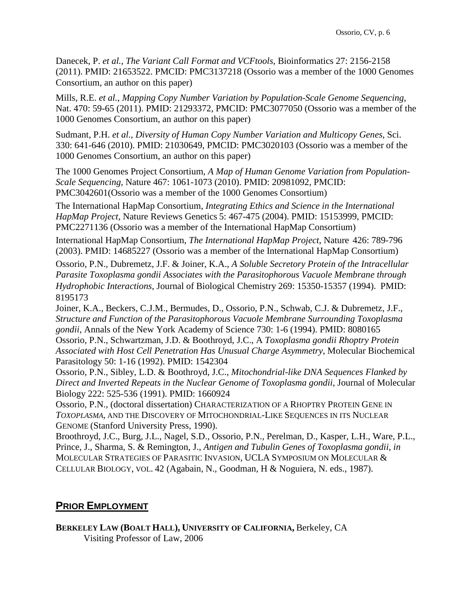Danecek, P. *et al.*, *The Variant Call Format and VCFtools*, Bioinformatics 27: 2156-2158 (2011). PMID: 21653522. PMCID: PMC3137218 (Ossorio was a member of the 1000 Genomes Consortium, an author on this paper)

Mills, R.E. *et al.*, *Mapping Copy Number Variation by Population-Scale Genome Sequencing*, Nat. 470: 59-65 (2011). PMID: 21293372, PMCID: PMC3077050 (Ossorio was a member of the 1000 Genomes Consortium, an author on this paper)

Sudmant, P.H. *et al.*, *Diversity of Human Copy Number Variation and Multicopy Genes*, Sci. 330: 641-646 (2010). PMID: 21030649, PMCID: PMC3020103 (Ossorio was a member of the 1000 Genomes Consortium, an author on this paper)

The 1000 Genomes Project Consortium, *A Map of Human Genome Variation from Population-Scale Sequencing*, Nature 467: 1061-1073 (2010). PMID: 20981092, PMCID: PMC3042601(Ossorio was a member of the 1000 Genomes Consortium)

The International HapMap Consortium, *Integrating Ethics and Science in the International HapMap Project*, Nature Reviews Genetics 5: 467-475 (2004). PMID: 15153999, PMCID: PMC2271136 (Ossorio was a member of the International HapMap Consortium)

International HapMap Consortium, *The International HapMap Project*, Nature 426: 789-796 (2003). PMID: 14685227 (Ossorio was a member of the International HapMap Consortium)

Ossorio, P.N., Dubremetz, J.F. & Joiner, K.A., *A Soluble Secretory Protein of the Intracellular Parasite Toxoplasma gondii Associates with the Parasitophorous Vacuole Membrane through Hydrophobic Interactions*, Journal of Biological Chemistry 269: 15350-15357 (1994). PMID: 8195173

Joiner, K.A., Beckers, C.J.M., Bermudes, D., Ossorio, P.N., Schwab, C.J. & Dubremetz, J.F., *Structure and Function of the Parasitophorous Vacuole Membrane Surrounding Toxoplasma gondii*, Annals of the New York Academy of Science 730: 1-6 (1994). PMID: 8080165

Ossorio, P.N., Schwartzman, J.D. & Boothroyd, J.C., A *Toxoplasma gondii Rhoptry Protein Associated with Host Cell Penetration Has Unusual Charge Asymmetry*, Molecular Biochemical Parasitology 50: 1-16 (1992). PMID: 1542304

Ossorio, P.N., Sibley, L.D. & Boothroyd, J.C., *Mitochondrial-like DNA Sequences Flanked by Direct and Inverted Repeats in the Nuclear Genome of Toxoplasma gondii*, Journal of Molecular Biology 222: 525-536 (1991). PMID: 1660924

Ossorio, P.N., (doctoral dissertation) CHARACTERIZATION OF A RHOPTRY PROTEIN GENE IN *TOXOPLASMA*, AND THE DISCOVERY OF MITOCHONDRIAL-LIKE SEQUENCES IN ITS NUCLEAR GENOME (Stanford University Press, 1990).

Broothroyd, J.C., Burg, J.L., Nagel, S.D., Ossorio, P.N., Perelman, D., Kasper, L.H., Ware, P.L., Prince, J., Sharma, S. & Remington, J., *Antigen and Tubulin Genes of Toxoplasma gondii*, *in*  MOLECULAR STRATEGIES OF PARASITIC INVASION, UCLA SYMPOSIUM ON MOLECULAR & CELLULAR BIOLOGY, VOL. 42 (Agabain, N., Goodman, H & Noguiera, N. eds., 1987).

#### **PRIOR EMPLOYMENT**

**BERKELEY LAW (BOALT HALL), UNIVERSITY OF CALIFORNIA,** Berkeley, CA Visiting Professor of Law, 2006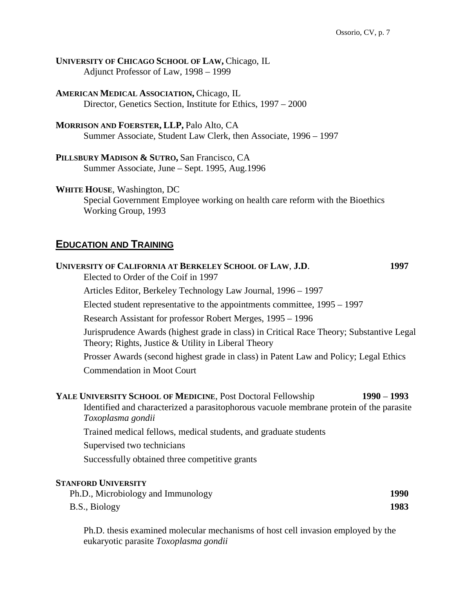**UNIVERSITY OF CHICAGO SCHOOL OF LAW,** Chicago, IL Adjunct Professor of Law, 1998 – 1999

**AMERICAN MEDICAL ASSOCIATION,** Chicago, IL Director, Genetics Section, Institute for Ethics, 1997 – 2000

**MORRISON AND FOERSTER, LLP,** Palo Alto, CA Summer Associate, Student Law Clerk, then Associate, 1996 – 1997

**PILLSBURY MADISON & SUTRO,** San Francisco, CA Summer Associate, June – Sept. 1995, Aug.1996

**WHITE HOUSE**, Washington, DC

Special Government Employee working on health care reform with the Bioethics Working Group, 1993

#### **EDUCATION AND TRAINING**

| UNIVERSITY OF CALIFORNIA AT BERKELEY SCHOOL OF LAW, J.D.                                                                                                                     | 1997          |
|------------------------------------------------------------------------------------------------------------------------------------------------------------------------------|---------------|
| Elected to Order of the Coif in 1997                                                                                                                                         |               |
| Articles Editor, Berkeley Technology Law Journal, 1996 – 1997                                                                                                                |               |
| Elected student representative to the appointments committee, 1995 – 1997                                                                                                    |               |
| Research Assistant for professor Robert Merges, 1995 – 1996                                                                                                                  |               |
| Jurisprudence Awards (highest grade in class) in Critical Race Theory; Substantive Legal<br>Theory; Rights, Justice $&$ Utility in Liberal Theory                            |               |
| Prosser Awards (second highest grade in class) in Patent Law and Policy; Legal Ethics                                                                                        |               |
| <b>Commendation in Moot Court</b>                                                                                                                                            |               |
| YALE UNIVERSITY SCHOOL OF MEDICINE, Post Doctoral Fellowship<br>Identified and characterized a parasitophorous vacuole membrane protein of the parasite<br>Toxoplasma gondii | $1990 - 1993$ |
| Trained medical fellows, medical students, and graduate students                                                                                                             |               |
| Supervised two technicians                                                                                                                                                   |               |
| Successfully obtained three competitive grants                                                                                                                               |               |
| <b>STANFORD UNIVERSITY</b>                                                                                                                                                   |               |
| Ph.D., Microbiology and Immunology                                                                                                                                           | 1990          |
| B.S., Biology                                                                                                                                                                | 1983          |

Ph.D. thesis examined molecular mechanisms of host cell invasion employed by the eukaryotic parasite *Toxoplasma gondii*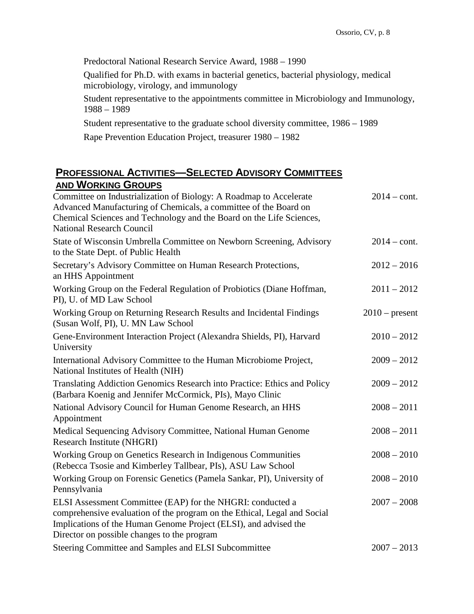Predoctoral National Research Service Award, 1988 – 1990

Qualified for Ph.D. with exams in bacterial genetics, bacterial physiology, medical microbiology, virology, and immunology

Student representative to the appointments committee in Microbiology and Immunology, 1988 – 1989

Student representative to the graduate school diversity committee, 1986 – 1989

Rape Prevention Education Project, treasurer 1980 – 1982

#### **PROFESSIONAL ACTIVITIES—SELECTED ADVISORY COMMITTEES AND WORKING GROUPS**

| Committee on Industrialization of Biology: A Roadmap to Accelerate<br>Advanced Manufacturing of Chemicals, a committee of the Board on<br>Chemical Sciences and Technology and the Board on the Life Sciences,<br><b>National Research Council</b>        | $2014 - \text{cont.}$ |
|-----------------------------------------------------------------------------------------------------------------------------------------------------------------------------------------------------------------------------------------------------------|-----------------------|
| State of Wisconsin Umbrella Committee on Newborn Screening, Advisory<br>to the State Dept. of Public Health                                                                                                                                               | $2014 - \text{cont.}$ |
| Secretary's Advisory Committee on Human Research Protections,<br>an HHS Appointment                                                                                                                                                                       | $2012 - 2016$         |
| Working Group on the Federal Regulation of Probiotics (Diane Hoffman,<br>PI), U. of MD Law School                                                                                                                                                         | $2011 - 2012$         |
| Working Group on Returning Research Results and Incidental Findings<br>(Susan Wolf, PI), U. MN Law School                                                                                                                                                 | $2010$ – present      |
| Gene-Environment Interaction Project (Alexandra Shields, PI), Harvard<br>University                                                                                                                                                                       | $2010 - 2012$         |
| International Advisory Committee to the Human Microbiome Project,<br>National Institutes of Health (NIH)                                                                                                                                                  | $2009 - 2012$         |
| Translating Addiction Genomics Research into Practice: Ethics and Policy<br>(Barbara Koenig and Jennifer McCormick, PIs), Mayo Clinic                                                                                                                     | $2009 - 2012$         |
| National Advisory Council for Human Genome Research, an HHS<br>Appointment                                                                                                                                                                                | $2008 - 2011$         |
| Medical Sequencing Advisory Committee, National Human Genome<br>Research Institute (NHGRI)                                                                                                                                                                | $2008 - 2011$         |
| Working Group on Genetics Research in Indigenous Communities<br>(Rebecca Tsosie and Kimberley Tallbear, PIs), ASU Law School                                                                                                                              | $2008 - 2010$         |
| Working Group on Forensic Genetics (Pamela Sankar, PI), University of<br>Pennsylvania                                                                                                                                                                     | $2008 - 2010$         |
| ELSI Assessment Committee (EAP) for the NHGRI: conducted a<br>comprehensive evaluation of the program on the Ethical, Legal and Social<br>Implications of the Human Genome Project (ELSI), and advised the<br>Director on possible changes to the program | $2007 - 2008$         |
| Steering Committee and Samples and ELSI Subcommittee                                                                                                                                                                                                      | $2007 - 2013$         |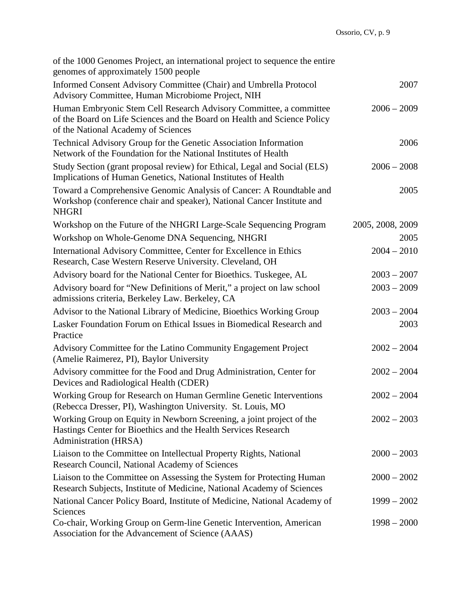| of the 1000 Genomes Project, an international project to sequence the entire<br>genomes of approximately 1500 people                                                                  |                  |
|---------------------------------------------------------------------------------------------------------------------------------------------------------------------------------------|------------------|
| Informed Consent Advisory Committee (Chair) and Umbrella Protocol<br>Advisory Committee, Human Microbiome Project, NIH                                                                | 2007             |
| Human Embryonic Stem Cell Research Advisory Committee, a committee<br>of the Board on Life Sciences and the Board on Health and Science Policy<br>of the National Academy of Sciences | $2006 - 2009$    |
| Technical Advisory Group for the Genetic Association Information<br>Network of the Foundation for the National Institutes of Health                                                   | 2006             |
| Study Section (grant proposal review) for Ethical, Legal and Social (ELS)<br>Implications of Human Genetics, National Institutes of Health                                            | $2006 - 2008$    |
| Toward a Comprehensive Genomic Analysis of Cancer: A Roundtable and<br>Workshop (conference chair and speaker), National Cancer Institute and<br><b>NHGRI</b>                         | 2005             |
| Workshop on the Future of the NHGRI Large-Scale Sequencing Program                                                                                                                    | 2005, 2008, 2009 |
| Workshop on Whole-Genome DNA Sequencing, NHGRI                                                                                                                                        | 2005             |
| International Advisory Committee, Center for Excellence in Ethics<br>Research, Case Western Reserve University. Cleveland, OH                                                         | $2004 - 2010$    |
| Advisory board for the National Center for Bioethics. Tuskegee, AL                                                                                                                    | $2003 - 2007$    |
| Advisory board for "New Definitions of Merit," a project on law school<br>admissions criteria, Berkeley Law. Berkeley, CA                                                             | $2003 - 2009$    |
| Advisor to the National Library of Medicine, Bioethics Working Group                                                                                                                  | $2003 - 2004$    |
| Lasker Foundation Forum on Ethical Issues in Biomedical Research and<br>Practice                                                                                                      | 2003             |
| Advisory Committee for the Latino Community Engagement Project<br>(Amelie Raimerez, PI), Baylor University                                                                            | $2002 - 2004$    |
| Advisory committee for the Food and Drug Administration, Center for<br>Devices and Radiological Health (CDER)                                                                         | $2002 - 2004$    |
| Working Group for Research on Human Germline Genetic Interventions<br>(Rebecca Dresser, PI), Washington University. St. Louis, MO                                                     | $2002 - 2004$    |
| Working Group on Equity in Newborn Screening, a joint project of the<br>Hastings Center for Bioethics and the Health Services Research<br><b>Administration (HRSA)</b>                | $2002 - 2003$    |
| Liaison to the Committee on Intellectual Property Rights, National<br>Research Council, National Academy of Sciences                                                                  | $2000 - 2003$    |
| Liaison to the Committee on Assessing the System for Protecting Human<br>Research Subjects, Institute of Medicine, National Academy of Sciences                                       | $2000 - 2002$    |
| National Cancer Policy Board, Institute of Medicine, National Academy of<br>Sciences                                                                                                  | $1999 - 2002$    |
| Co-chair, Working Group on Germ-line Genetic Intervention, American<br>Association for the Advancement of Science (AAAS)                                                              | $1998 - 2000$    |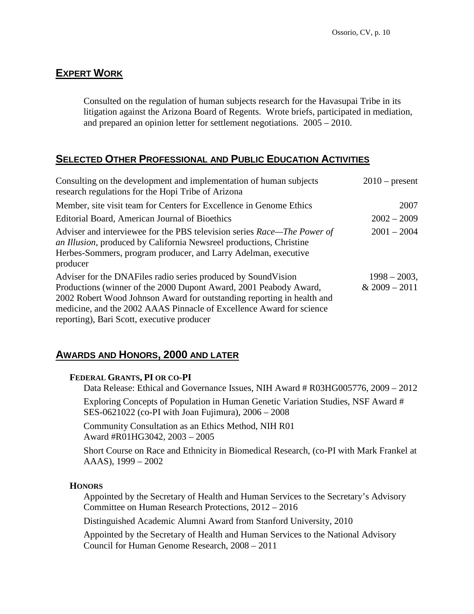# **EXPERT WORK**

Consulted on the regulation of human subjects research for the Havasupai Tribe in its litigation against the Arizona Board of Regents. Wrote briefs, participated in mediation, and prepared an opinion letter for settlement negotiations. 2005 – 2010.

### **SELECTED OTHER PROFESSIONAL AND PUBLIC EDUCATION ACTIVITIES**

| Consulting on the development and implementation of human subjects<br>research regulations for the Hopi Tribe of Arizona                                                                                                     | $2010$ – present |
|------------------------------------------------------------------------------------------------------------------------------------------------------------------------------------------------------------------------------|------------------|
| Member, site visit team for Centers for Excellence in Genome Ethics                                                                                                                                                          | 2007             |
| Editorial Board, American Journal of Bioethics                                                                                                                                                                               | $2002 - 2009$    |
| Adviser and interviewee for the PBS television series Race—The Power of<br>an Illusion, produced by California Newsreel productions, Christine<br>Herbes-Sommers, program producer, and Larry Adelman, executive<br>producer | $2001 - 2004$    |
| Adviser for the DNAFiles radio series produced by Sound Vision                                                                                                                                                               | $1998 - 2003$ ,  |
| Productions (winner of the 2000 Dupont Award, 2001 Peabody Award,                                                                                                                                                            | $& 2009 - 2011$  |
| 2002 Robert Wood Johnson Award for outstanding reporting in health and<br>medicine, and the 2002 AAAS Pinnacle of Excellence Award for science                                                                               |                  |
| reporting), Bari Scott, executive producer                                                                                                                                                                                   |                  |

#### **AWARDS AND HONORS, 2000 AND LATER**

#### **FEDERAL GRANTS, PI OR CO-PI**

Data Release: Ethical and Governance Issues, NIH Award # R03HG005776, 2009 – 2012

Exploring Concepts of Population in Human Genetic Variation Studies, NSF Award # SES-0621022 (co-PI with Joan Fujimura), 2006 – 2008

Community Consultation as an Ethics Method, NIH R01 Award #R01HG3042, 2003 – 2005

Short Course on Race and Ethnicity in Biomedical Research, (co-PI with Mark Frankel at AAAS), 1999 – 2002

#### **HONORS**

Appointed by the Secretary of Health and Human Services to the Secretary's Advisory Committee on Human Research Protections, 2012 – 2016

Distinguished Academic Alumni Award from Stanford University, 2010

Appointed by the Secretary of Health and Human Services to the National Advisory Council for Human Genome Research, 2008 – 2011